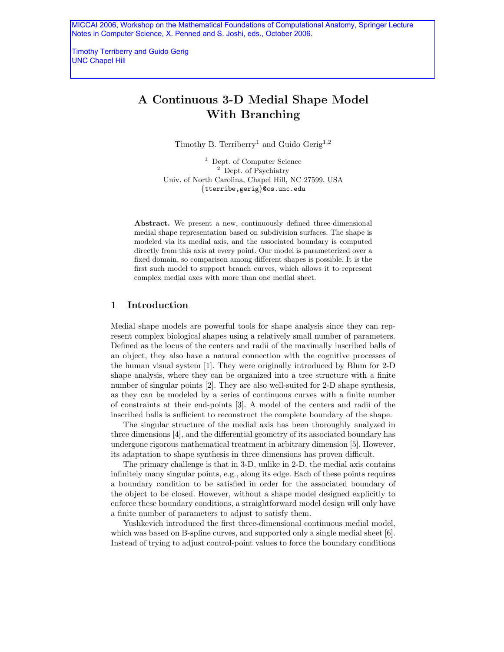MICCAI 2006, Workshop on the Mathematical Foundations of Computational Anatomy, Springer Lecture Notes in Computer Science, X. Penned and S. Joshi, eds., October 2006.

Timothy Terriberry and Guido Gerig UNC Chapel Hill

# A Continuous 3-D Medial Shape Model With Branching

Timothy B. Terriberry<sup>1</sup> and Guido Gerig<sup>1,2</sup>

<sup>1</sup> Dept. of Computer Science <sup>2</sup> Dept. of Psychiatry Univ. of North Carolina, Chapel Hill, NC 27599, USA {tterribe,gerig}@cs.unc.edu

Abstract. We present a new, continuously defined three-dimensional medial shape representation based on subdivision surfaces. The shape is modeled via its medial axis, and the associated boundary is computed directly from this axis at every point. Our model is parameterized over a fixed domain, so comparison among different shapes is possible. It is the first such model to support branch curves, which allows it to represent complex medial axes with more than one medial sheet.

## 1 Introduction

Medial shape models are powerful tools for shape analysis since they can represent complex biological shapes using a relatively small number of parameters. Defined as the locus of the centers and radii of the maximally inscribed balls of an object, they also have a natural connection with the cognitive processes of the human visual system [1]. They were originally introduced by Blum for 2-D shape analysis, where they can be organized into a tree structure with a finite number of singular points [2]. They are also well-suited for 2-D shape synthesis, as they can be modeled by a series of continuous curves with a finite number of constraints at their end-points [3]. A model of the centers and radii of the inscribed balls is sufficient to reconstruct the complete boundary of the shape.

The singular structure of the medial axis has been thoroughly analyzed in three dimensions [4], and the differential geometry of its associated boundary has undergone rigorous mathematical treatment in arbitrary dimension [5]. However, its adaptation to shape synthesis in three dimensions has proven difficult.

The primary challenge is that in 3-D, unlike in 2-D, the medial axis contains infinitely many singular points, e.g., along its edge. Each of these points requires a boundary condition to be satisfied in order for the associated boundary of the object to be closed. However, without a shape model designed explicitly to enforce these boundary conditions, a straightforward model design will only have a finite number of parameters to adjust to satisfy them.

Yushkevich introduced the first three-dimensional continuous medial model, which was based on B-spline curves, and supported only a single medial sheet [6]. Instead of trying to adjust control-point values to force the boundary conditions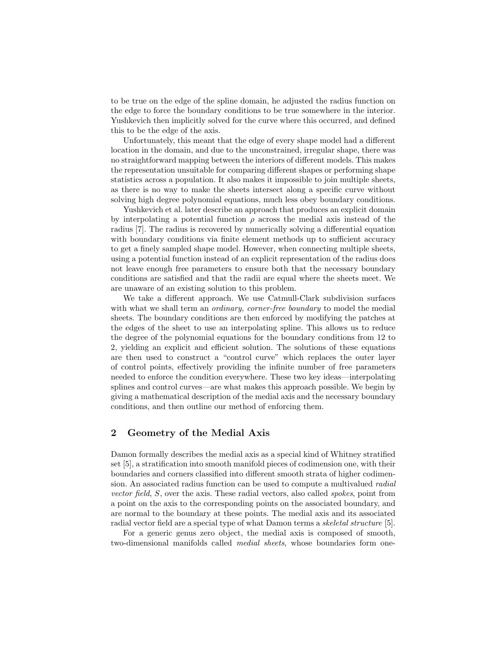to be true on the edge of the spline domain, he adjusted the radius function on the edge to force the boundary conditions to be true somewhere in the interior. Yushkevich then implicitly solved for the curve where this occurred, and defined this to be the edge of the axis.

Unfortunately, this meant that the edge of every shape model had a different location in the domain, and due to the unconstrained, irregular shape, there was no straightforward mapping between the interiors of different models. This makes the representation unsuitable for comparing different shapes or performing shape statistics across a population. It also makes it impossible to join multiple sheets, as there is no way to make the sheets intersect along a specific curve without solving high degree polynomial equations, much less obey boundary conditions.

Yushkevich et al. later describe an approach that produces an explicit domain by interpolating a potential function  $\rho$  across the medial axis instead of the radius [7]. The radius is recovered by numerically solving a differential equation with boundary conditions via finite element methods up to sufficient accuracy to get a finely sampled shape model. However, when connecting multiple sheets, using a potential function instead of an explicit representation of the radius does not leave enough free parameters to ensure both that the necessary boundary conditions are satisfied and that the radii are equal where the sheets meet. We are unaware of an existing solution to this problem.

We take a different approach. We use Catmull-Clark subdivision surfaces with what we shall term an *ordinary, corner-free boundary* to model the medial sheets. The boundary conditions are then enforced by modifying the patches at the edges of the sheet to use an interpolating spline. This allows us to reduce the degree of the polynomial equations for the boundary conditions from 12 to 2, yielding an explicit and efficient solution. The solutions of these equations are then used to construct a "control curve" which replaces the outer layer of control points, effectively providing the infinite number of free parameters needed to enforce the condition everywhere. These two key ideas—interpolating splines and control curves—are what makes this approach possible. We begin by giving a mathematical description of the medial axis and the necessary boundary conditions, and then outline our method of enforcing them.

# 2 Geometry of the Medial Axis

Damon formally describes the medial axis as a special kind of Whitney stratified set [5], a stratification into smooth manifold pieces of codimension one, with their boundaries and corners classified into different smooth strata of higher codimension. An associated radius function can be used to compute a multivalued radial vector field, S, over the axis. These radial vectors, also called spokes, point from a point on the axis to the corresponding points on the associated boundary, and are normal to the boundary at these points. The medial axis and its associated radial vector field are a special type of what Damon terms a skeletal structure [5].

For a generic genus zero object, the medial axis is composed of smooth, two-dimensional manifolds called medial sheets, whose boundaries form one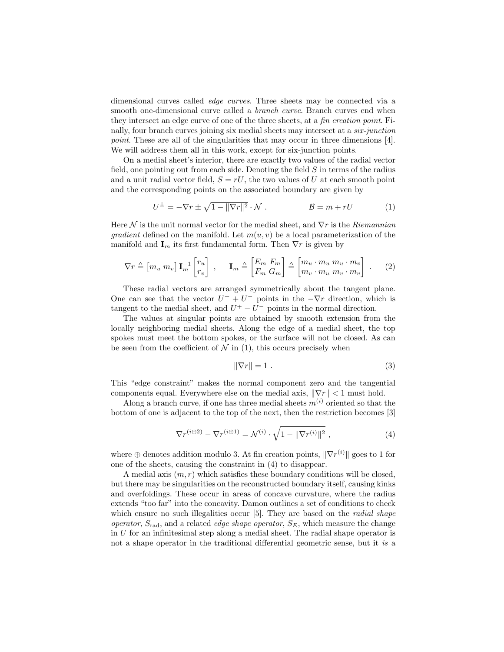dimensional curves called edge curves. Three sheets may be connected via a smooth one-dimensional curve called a *branch curve*. Branch curves end when they intersect an edge curve of one of the three sheets, at a fin creation point. Finally, four branch curves joining six medial sheets may intersect at a six-junction point. These are all of the singularities that may occur in three dimensions [4]. We will address them all in this work, except for six-junction points.

On a medial sheet's interior, there are exactly two values of the radial vector field, one pointing out from each side. Denoting the field  $S$  in terms of the radius and a unit radial vector field,  $S = rU$ , the two values of U at each smooth point and the corresponding points on the associated boundary are given by

$$
U^{\pm} = -\nabla r \pm \sqrt{1 - ||\nabla r||^2} \cdot \mathcal{N} . \qquad \mathcal{B} = m + rU \qquad (1)
$$

Here  $\mathcal N$  is the unit normal vector for the medial sheet, and  $\nabla r$  is the Riemannian *gradient* defined on the manifold. Let  $m(u, v)$  be a local parameterization of the manifold and  $\mathbf{I}_m$  its first fundamental form. Then  $\nabla r$  is given by

$$
\nabla r \triangleq \begin{bmatrix} m_u \ m_v \end{bmatrix} \mathbf{I}_m^{-1} \begin{bmatrix} r_u \\ r_v \end{bmatrix} , \quad \mathbf{I}_m \triangleq \begin{bmatrix} E_m \ F_m \\ F_m \ G_m \end{bmatrix} \triangleq \begin{bmatrix} m_u \cdot m_u \ m_v \cdot m_u \\ m_v \cdot m_u \ m_v \cdot m_v \end{bmatrix} . \tag{2}
$$

These radial vectors are arranged symmetrically about the tangent plane. One can see that the vector  $U^+ + U^-$  points in the  $-\nabla r$  direction, which is tangent to the medial sheet, and  $U^+ - U^-$  points in the normal direction.

The values at singular points are obtained by smooth extension from the locally neighboring medial sheets. Along the edge of a medial sheet, the top spokes must meet the bottom spokes, or the surface will not be closed. As can be seen from the coefficient of  $N$  in (1), this occurs precisely when

$$
\|\nabla r\| = 1\tag{3}
$$

This "edge constraint" makes the normal component zero and the tangential components equal. Everywhere else on the medial axis,  $\|\nabla r\| < 1$  must hold.

Along a branch curve, if one has three medial sheets  $m^{(i)}$  oriented so that the bottom of one is adjacent to the top of the next, then the restriction becomes [3]

$$
\nabla r^{(i \oplus 2)} - \nabla r^{(i \oplus 1)} = \mathcal{N}^{(i)} \cdot \sqrt{1 - ||\nabla r^{(i)}||^2} , \qquad (4)
$$

where  $\oplus$  denotes addition modulo 3. At fin creation points,  $\|\nabla r^{(i)}\|$  goes to 1 for one of the sheets, causing the constraint in (4) to disappear.

A medial axis  $(m, r)$  which satisfies these boundary conditions will be closed, but there may be singularities on the reconstructed boundary itself, causing kinks and overfoldings. These occur in areas of concave curvature, where the radius extends "too far" into the concavity. Damon outlines a set of conditions to check which ensure no such illegalities occur [5]. They are based on the *radial shape* operator,  $S_{\text{rad}}$ , and a related *edge shape operator*,  $S_E$ , which measure the change in  $U$  for an infinitesimal step along a medial sheet. The radial shape operator is not a shape operator in the traditional differential geometric sense, but it is a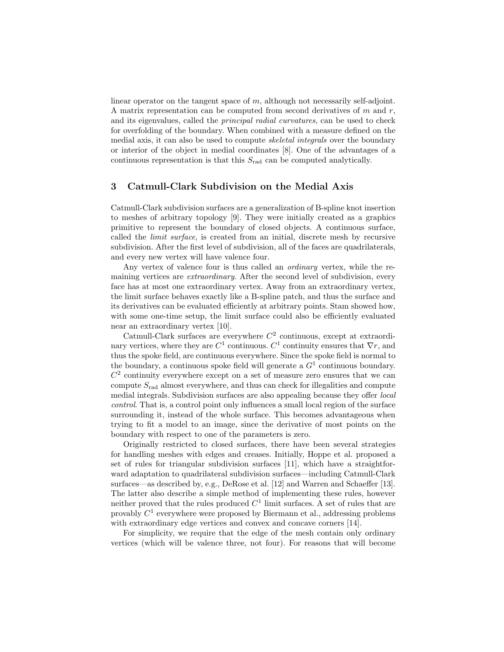linear operator on the tangent space of m, although not necessarily self-adjoint. A matrix representation can be computed from second derivatives of  $m$  and  $r$ , and its eigenvalues, called the principal radial curvatures, can be used to check for overfolding of the boundary. When combined with a measure defined on the medial axis, it can also be used to compute skeletal integrals over the boundary or interior of the object in medial coordinates [8]. One of the advantages of a continuous representation is that this  $S_{\text{rad}}$  can be computed analytically.

## 3 Catmull-Clark Subdivision on the Medial Axis

Catmull-Clark subdivision surfaces are a generalization of B-spline knot insertion to meshes of arbitrary topology [9]. They were initially created as a graphics primitive to represent the boundary of closed objects. A continuous surface, called the limit surface, is created from an initial, discrete mesh by recursive subdivision. After the first level of subdivision, all of the faces are quadrilaterals, and every new vertex will have valence four.

Any vertex of valence four is thus called an *ordinary* vertex, while the remaining vertices are *extraordinary*. After the second level of subdivision, every face has at most one extraordinary vertex. Away from an extraordinary vertex, the limit surface behaves exactly like a B-spline patch, and thus the surface and its derivatives can be evaluated efficiently at arbitrary points. Stam showed how, with some one-time setup, the limit surface could also be efficiently evaluated near an extraordinary vertex [10].

Catmull-Clark surfaces are everywhere  $C<sup>2</sup>$  continuous, except at extraordinary vertices, where they are  $C^1$  continuous.  $C^1$  continuity ensures that  $\nabla r$ , and thus the spoke field, are continuous everywhere. Since the spoke field is normal to the boundary, a continuous spoke field will generate a  $G<sup>1</sup>$  continuous boundary.  $C<sup>2</sup>$  continuity everywhere except on a set of measure zero ensures that we can compute  $S_{rad}$  almost everywhere, and thus can check for illegalities and compute medial integrals. Subdivision surfaces are also appealing because they offer local control. That is, a control point only influences a small local region of the surface surrounding it, instead of the whole surface. This becomes advantageous when trying to fit a model to an image, since the derivative of most points on the boundary with respect to one of the parameters is zero.

Originally restricted to closed surfaces, there have been several strategies for handling meshes with edges and creases. Initially, Hoppe et al. proposed a set of rules for triangular subdivision surfaces [11], which have a straightforward adaptation to quadrilateral subdivision surfaces—including Catmull-Clark surfaces—as described by, e.g., DeRose et al. [12] and Warren and Schaeffer [13]. The latter also describe a simple method of implementing these rules, however neither proved that the rules produced  $C<sup>1</sup>$  limit surfaces. A set of rules that are provably  $C^1$  everywhere were proposed by Biermann et al., addressing problems with extraordinary edge vertices and convex and concave corners [14].

For simplicity, we require that the edge of the mesh contain only ordinary vertices (which will be valence three, not four). For reasons that will become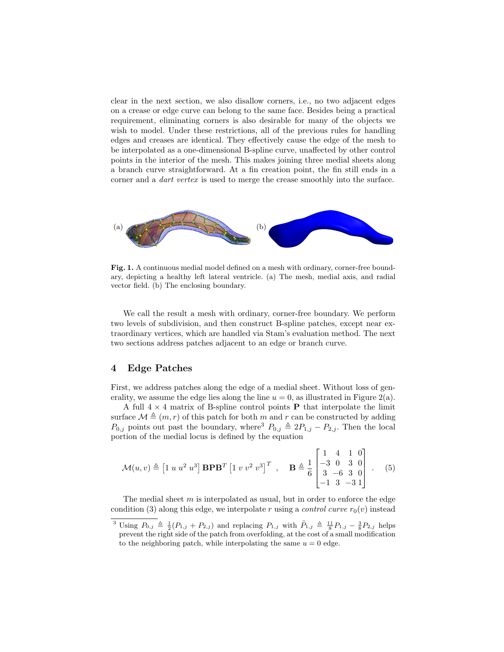clear in the next section, we also disallow corners, i.e., no two adjacent edges on a crease or edge curve can belong to the same face. Besides being a practical requirement, eliminating corners is also desirable for many of the objects we wish to model. Under these restrictions, all of the previous rules for handling edges and creases are identical. They effectively cause the edge of the mesh to be interpolated as a one-dimensional B-spline curve, unaffected by other control points in the interior of the mesh. This makes joining three medial sheets along a branch curve straightforward. At a fin creation point, the fin still ends in a corner and a dart vertex is used to merge the crease smoothly into the surface.



Fig. 1. A continuous medial model defined on a mesh with ordinary, corner-free boundary, depicting a healthy left lateral ventricle. (a) The mesh, medial axis, and radial vector field. (b) The enclosing boundary.

We call the result a mesh with ordinary, corner-free boundary. We perform two levels of subdivision, and then construct B-spline patches, except near extraordinary vertices, which are handled via Stam's evaluation method. The next two sections address patches adjacent to an edge or branch curve.

## 4 Edge Patches

First, we address patches along the edge of a medial sheet. Without loss of generality, we assume the edge lies along the line  $u = 0$ , as illustrated in Figure 2(a).

A full  $4 \times 4$  matrix of B-spline control points **P** that interpolate the limit surface  $\mathcal{M} \triangleq (m, r)$  of this patch for both m and r can be constructed by adding  $P_{0,j}$  points out past the boundary, where<sup>3</sup>  $P_{0,j} \triangleq 2P_{1,j} - P_{2,j}$ . Then the local portion of the medial locus is defined by the equation

$$
\mathcal{M}(u,v) \triangleq [1 \ u \ u^2 \ u^3] \ \mathbf{B} \mathbf{P} \mathbf{B}^T [1 \ v \ v^2 \ v^3]^T , \quad \mathbf{B} \triangleq \frac{1}{6} \begin{bmatrix} 1 & 4 & 1 & 0 \\ -3 & 0 & 3 & 0 \\ 3 & -6 & 3 & 0 \\ -1 & 3 & -3 & 1 \end{bmatrix} .
$$
 (5)

The medial sheet  $m$  is interpolated as usual, but in order to enforce the edge condition (3) along this edge, we interpolate r using a *control curve*  $r_0(v)$  instead

<sup>&</sup>lt;sup>3</sup> Using  $P_{0,j} \triangleq \frac{1}{2}(P_{1,j} + P_{2,j})$  and replacing  $P_{1,j}$  with  $\tilde{P}_{1,j} \triangleq \frac{11}{8}P_{1,j} - \frac{3}{8}P_{2,j}$  helps prevent the right side of the patch from overfolding, at the cost of a small modification to the neighboring patch, while interpolating the same  $u = 0$  edge.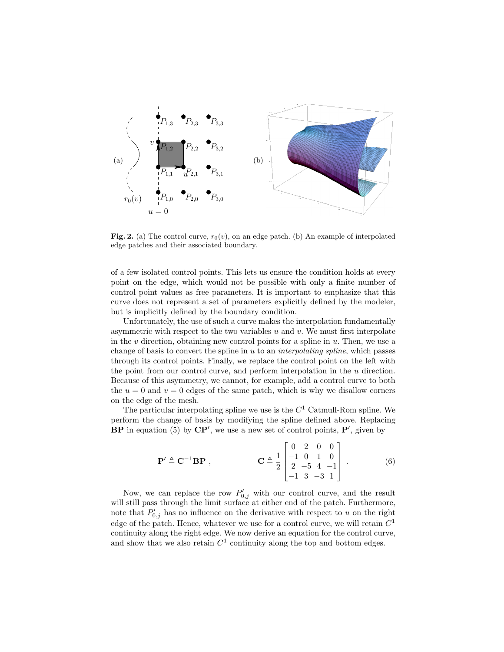

Fig. 2. (a) The control curve,  $r_0(v)$ , on an edge patch. (b) An example of interpolated edge patches and their associated boundary.

of a few isolated control points. This lets us ensure the condition holds at every point on the edge, which would not be possible with only a finite number of control point values as free parameters. It is important to emphasize that this curve does not represent a set of parameters explicitly defined by the modeler, but is implicitly defined by the boundary condition.

Unfortunately, the use of such a curve makes the interpolation fundamentally asymmetric with respect to the two variables  $u$  and  $v$ . We must first interpolate in the  $v$  direction, obtaining new control points for a spline in  $u$ . Then, we use a change of basis to convert the spline in  $u$  to an *interpolating spline*, which passes through its control points. Finally, we replace the control point on the left with the point from our control curve, and perform interpolation in the u direction. Because of this asymmetry, we cannot, for example, add a control curve to both the  $u = 0$  and  $v = 0$  edges of the same patch, which is why we disallow corners on the edge of the mesh.

The particular interpolating spline we use is the  $C<sup>1</sup>$  Catmull-Rom spline. We perform the change of basis by modifying the spline defined above. Replacing  $BP$  in equation (5) by  $\mathbb{CP}'$ , we use a new set of control points,  $P'$ , given by

$$
\mathbf{P}' \triangleq \mathbf{C}^{-1} \mathbf{B} \mathbf{P} , \qquad \qquad \mathbf{C} \triangleq \frac{1}{2} \begin{bmatrix} 0 & 2 & 0 & 0 \\ -1 & 0 & 1 & 0 \\ 2 & -5 & 4 & -1 \\ -1 & 3 & -3 & 1 \end{bmatrix} . \tag{6}
$$

Now, we can replace the row  $P'_{0,j}$  with our control curve, and the result will still pass through the limit surface at either end of the patch. Furthermore, note that  $P'_{0,j}$  has no influence on the derivative with respect to u on the right edge of the patch. Hence, whatever we use for a control curve, we will retain  $C<sup>1</sup>$ continuity along the right edge. We now derive an equation for the control curve, and show that we also retain  $C<sup>1</sup>$  continuity along the top and bottom edges.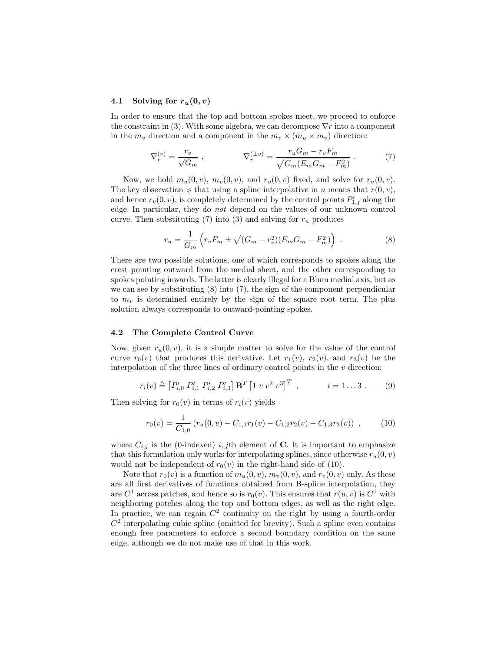## 4.1 Solving for  $r_u(0, v)$

In order to ensure that the top and bottom spokes meet, we proceed to enforce the constraint in (3). With some algebra, we can decompose  $\nabla r$  into a component in the  $m_v$  direction and a component in the  $m_v \times (m_u \times m_v)$  direction:

$$
\nabla_r^{(v)} = \frac{r_v}{\sqrt{G_m}} \ , \qquad \nabla_r^{(\perp v)} = \frac{r_u G_m - r_v F_m}{\sqrt{G_m (E_m G_m - F_m^2)}} \ . \tag{7}
$$

Now, we hold  $m_u(0, v)$ ,  $m_v(0, v)$ , and  $r_v(0, v)$  fixed, and solve for  $r_u(0, v)$ . The key observation is that using a spline interpolative in u means that  $r(0, v)$ , and hence  $r_v(0, v)$ , is completely determined by the control points  $P'_{1,j}$  along the edge. In particular, they do not depend on the values of our unknown control curve. Then substituting (7) into (3) and solving for  $r_u$  produces

$$
r_u = \frac{1}{G_m} \left( r_v F_m \pm \sqrt{(G_m - r_v^2)(E_m G_m - F_m^2)} \right) . \tag{8}
$$

There are two possible solutions, one of which corresponds to spokes along the crest pointing outward from the medial sheet, and the other corresponding to spokes pointing inwards. The latter is clearly illegal for a Blum medial axis, but as we can see by substituting (8) into (7), the sign of the component perpendicular to  $m<sub>v</sub>$  is determined entirely by the sign of the square root term. The plus solution always corresponds to outward-pointing spokes.

#### 4.2 The Complete Control Curve

Now, given  $r_u(0, v)$ , it is a simple matter to solve for the value of the control curve  $r_0(v)$  that produces this derivative. Let  $r_1(v)$ ,  $r_2(v)$ , and  $r_3(v)$  be the interpolation of the three lines of ordinary control points in the  $v$  direction:

$$
r_i(v) \triangleq [P'_{i,0} P'_{i,1} P'_{i,2} P'_{i,3}] \mathbf{B}^T [1 \ v \ v^2 \ v^3]^T , \qquad i = 1...3 . \qquad (9)
$$

Then solving for  $r_0(v)$  in terms of  $r_i(v)$  yields

$$
r_0(v) = \frac{1}{C_{1,0}} \left( r_u(0, v) - C_{1,1} r_1(v) - C_{1,2} r_2(v) - C_{1,3} r_3(v) \right) ,\qquad(10)
$$

where  $C_{i,j}$  is the (0-indexed) i, jth element of C. It is important to emphasize that this formulation only works for interpolating splines, since otherwise  $r_u(0, v)$ would not be independent of  $r_0(v)$  in the right-hand side of (10).

Note that  $r_0(v)$  is a function of  $m_u(0, v)$ ,  $m_v(0, v)$ , and  $r_v(0, v)$  only. As these are all first derivatives of functions obtained from B-spline interpolation, they are  $C^1$  across patches, and hence so is  $r_0(v)$ . This ensures that  $r(u, v)$  is  $C^1$  with neighboring patches along the top and bottom edges, as well as the right edge. In practice, we can regain  $C<sup>2</sup>$  continuity on the right by using a fourth-order  $C<sup>2</sup>$  interpolating cubic spline (omitted for brevity). Such a spline even contains enough free parameters to enforce a second boundary condition on the same edge, although we do not make use of that in this work.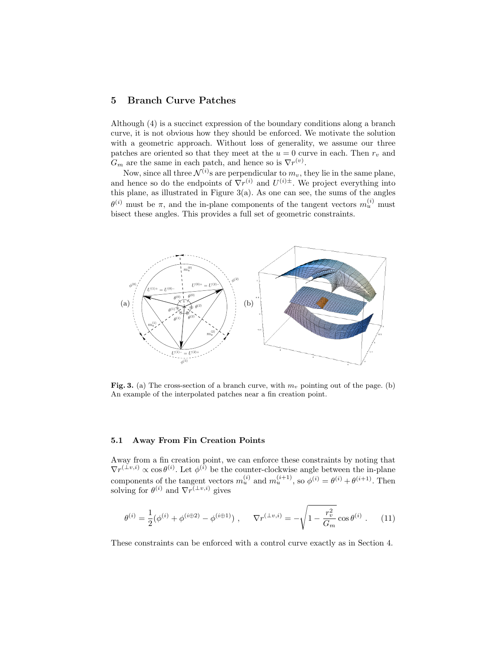# 5 Branch Curve Patches

Although (4) is a succinct expression of the boundary conditions along a branch curve, it is not obvious how they should be enforced. We motivate the solution with a geometric approach. Without loss of generality, we assume our three patches are oriented so that they meet at the  $u = 0$  curve in each. Then  $r_v$  and  $G_m$  are the same in each patch, and hence so is  $\nabla r^{(v)}$ .

Now, since all three  $\mathcal{N}^{(i)}$ s are perpendicular to  $m_v$ , they lie in the same plane, and hence so do the endpoints of  $\nabla r^{(i)}$  and  $U^{(i)\pm}$ . We project everything into this plane, as illustrated in Figure  $3(a)$ . As one can see, the sums of the angles  $\theta^{(i)}$  must be  $\pi$ , and the in-plane components of the tangent vectors  $m_u^{(i)}$  must bisect these angles. This provides a full set of geometric constraints.



Fig. 3. (a) The cross-section of a branch curve, with  $m<sub>v</sub>$  pointing out of the page. (b) An example of the interpolated patches near a fin creation point.

#### 5.1 Away From Fin Creation Points

Away from a fin creation point, we can enforce these constraints by noting that  $\nabla r^{(\perp v,i)} \propto \cos \theta^{(i)}$ . Let  $\phi^{(i)}$  be the counter-clockwise angle between the in-plane components of the tangent vectors  $m_u^{(i)}$  and  $m_u^{(i+1)}$ , so  $\phi^{(i)} = \theta^{(i)} + \theta^{(i+1)}$ . Then solving for  $\theta^{(i)}$  and  $\nabla r^{(\perp v,i)}$  gives

$$
\theta^{(i)} = \frac{1}{2} (\phi^{(i)} + \phi^{(i \oplus 2)} - \phi^{(i \oplus 1)}) , \qquad \nabla r^{(\perp v, i)} = -\sqrt{1 - \frac{r_v^2}{G_m}} \cos \theta^{(i)} . \tag{11}
$$

These constraints can be enforced with a control curve exactly as in Section 4.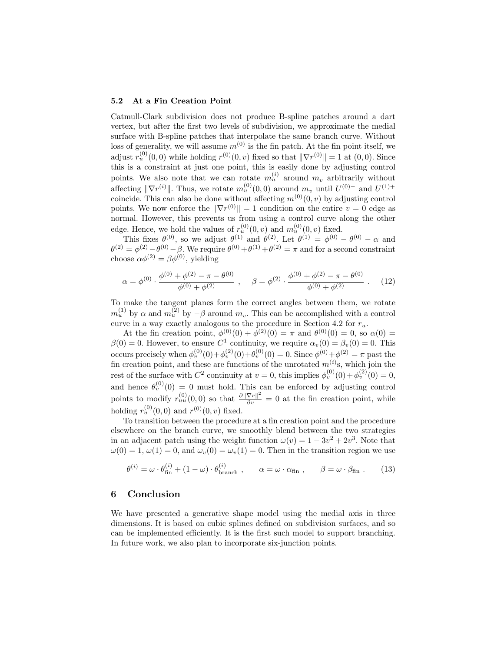## 5.2 At a Fin Creation Point

Catmull-Clark subdivision does not produce B-spline patches around a dart vertex, but after the first two levels of subdivision, we approximate the medial surface with B-spline patches that interpolate the same branch curve. Without loss of generality, we will assume  $m^{(0)}$  is the fin patch. At the fin point itself, we adjust  $r_u^{(0)}(0,0)$  while holding  $r^{(0)}(0, v)$  fixed so that  $\|\nabla r^{(0)}\| = 1$  at  $(0, 0)$ . Since this is a constraint at just one point, this is easily done by adjusting control points. We also note that we can rotate  $m_u^{(i)}$  around  $m_v$  arbitrarily without affecting  $\|\nabla r^{(i)}\|$ . Thus, we rotate  $m_u^{(0)}(0,0)$  around  $m_v$  until  $U^{(0)-}$  and  $U^{(1)+}$ coincide. This can also be done without affecting  $m^{(0)}(0, v)$  by adjusting control points. We now enforce the  $\|\nabla r^{(0)}\| = 1$  condition on the entire  $v = 0$  edge as normal. However, this prevents us from using a control curve along the other edge. Hence, we hold the values of  $r_u^{(0)}(0, v)$  and  $m_u^{(0)}(0, v)$  fixed.

This fixes  $\theta^{(0)}$ , so we adjust  $\theta^{(1)}$  and  $\theta^{(2)}$ . Let  $\theta^{(1)} = \phi^{(0)} - \theta^{(0)} - \alpha$  and  $\theta^{(2)} = \phi^{(2)} - \theta^{(0)} - \beta$ . We require  $\theta^{(0)} + \theta^{(1)} + \theta^{(2)} = \pi$  and for a second constraint choose  $\alpha \phi^{(2)} = \beta \phi^{(0)}$ , yielding

$$
\alpha = \phi^{(0)} \cdot \frac{\phi^{(0)} + \phi^{(2)} - \pi - \theta^{(0)}}{\phi^{(0)} + \phi^{(2)}}, \quad \beta = \phi^{(2)} \cdot \frac{\phi^{(0)} + \phi^{(2)} - \pi - \theta^{(0)}}{\phi^{(0)} + \phi^{(2)}}.
$$
 (12)

To make the tangent planes form the correct angles between them, we rotate  $m_u^{(1)}$  by  $\alpha$  and  $m_u^{(2)}$  by  $-\beta$  around  $m_v$ . This can be accomplished with a control curve in a way exactly analogous to the procedure in Section 4.2 for  $r_u$ .

At the fin creation point,  $\phi^{(0)}(0) + \phi^{(2)}(0) = \pi$  and  $\theta^{(0)}(0) = 0$ , so  $\alpha(0) =$  $\beta(0) = 0$ . However, to ensure  $C^1$  continuity, we require  $\alpha_v(0) = \beta_v(0) = 0$ . This occurs precisely when  $\phi_v^{(0)}(0) + \phi_v^{(2)}(0) + \theta_v^{(0)}(0) = 0$ . Since  $\phi^{(0)} + \phi^{(2)} = \pi$  past the fin creation point, and these are functions of the unrotated  $m^{(i)}$ s, which join the rest of the surface with  $C^2$  continuity at  $v = 0$ , this implies  $\phi_v^{(0)}(0) + \phi_v^{(2)}(0) = 0$ , and hence  $\theta_v^{(0)}(0) = 0$  must hold. This can be enforced by adjusting control points to modify  $r_{uu}^{(0)}(0,0)$  so that  $\frac{\partial ||\nabla r||^2}{\partial v} = 0$  at the fin creation point, while holding  $r_u^{(0)}(0,0)$  and  $r^{(0)}(0, v)$  fixed.

To transition between the procedure at a fin creation point and the procedure elsewhere on the branch curve, we smoothly blend between the two strategies in an adjacent patch using the weight function  $\omega(v) = 1 - 3v^2 + 2v^3$ . Note that  $\omega(0) = 1, \omega(1) = 0$ , and  $\omega_v(0) = \omega_v(1) = 0$ . Then in the transition region we use

$$
\theta^{(i)} = \omega \cdot \theta_{\text{fin}}^{(i)} + (1 - \omega) \cdot \theta_{\text{branch}}^{(i)}, \qquad \alpha = \omega \cdot \alpha_{\text{fin}} , \qquad \beta = \omega \cdot \beta_{\text{fin}} . \tag{13}
$$

## 6 Conclusion

We have presented a generative shape model using the medial axis in three dimensions. It is based on cubic splines defined on subdivision surfaces, and so can be implemented efficiently. It is the first such model to support branching. In future work, we also plan to incorporate six-junction points.